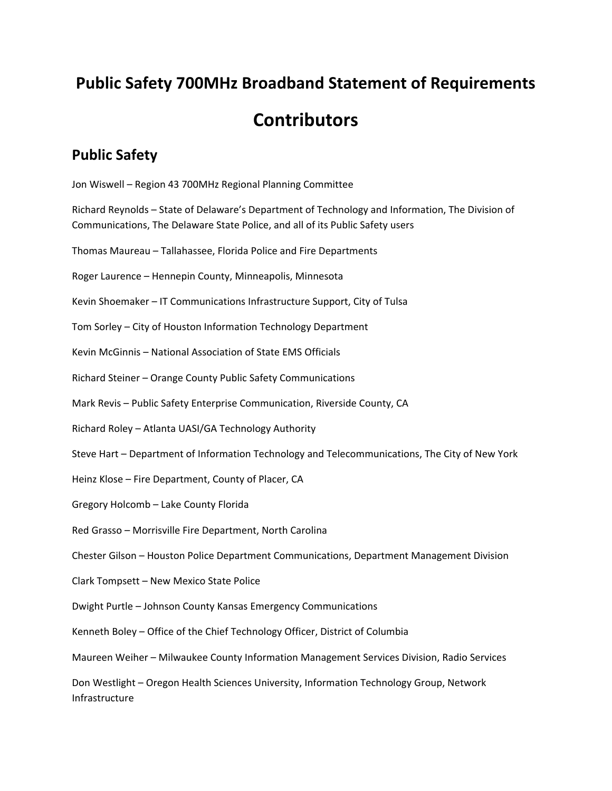## **Public Safety 700MHz Broadband Statement of Requirements Contributors**

## **Public Safety**

Jon Wiswell – Region 43 700MHz Regional Planning Committee

Richard Reynolds – State of Delaware's Department of Technology and Information, The Division of Communications, The Delaware State Police, and all of its Public Safety users

Thomas Maureau – Tallahassee, Florida Police and Fire Departments

Roger Laurence – Hennepin County, Minneapolis, Minnesota

Kevin Shoemaker – IT Communications Infrastructure Support, City of Tulsa

Tom Sorley – City of Houston Information Technology Department

Kevin McGinnis – National Association of State EMS Officials

Richard Steiner – Orange County Public Safety Communications

Mark Revis – Public Safety Enterprise Communication, Riverside County, CA

Richard Roley – Atlanta UASI/GA Technology Authority

Steve Hart – Department of Information Technology and Telecommunications, The City of New York

Heinz Klose – Fire Department, County of Placer, CA

Gregory Holcomb – Lake County Florida

Red Grasso – Morrisville Fire Department, North Carolina

Chester Gilson – Houston Police Department Communications, Department Management Division

Clark Tompsett – New Mexico State Police

Dwight Purtle – Johnson County Kansas Emergency Communications

Kenneth Boley – Office of the Chief Technology Officer, District of Columbia

Maureen Weiher – Milwaukee County Information Management Services Division, Radio Services

Don Westlight – Oregon Health Sciences University, Information Technology Group, Network Infrastructure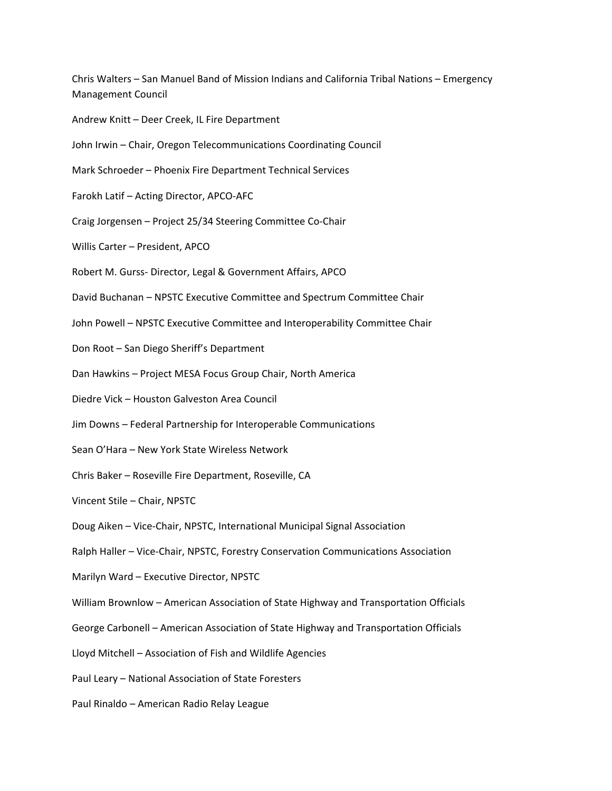Chris Walters – San Manuel Band of Mission Indians and California Tribal Nations – Emergency Management Council

- Andrew Knitt Deer Creek, IL Fire Department
- John Irwin Chair, Oregon Telecommunications Coordinating Council
- Mark Schroeder Phoenix Fire Department Technical Services
- Farokh Latif Acting Director, APCO‐AFC
- Craig Jorgensen Project 25/34 Steering Committee Co‐Chair
- Willis Carter President, APCO
- Robert M. Gurss‐ Director, Legal & Government Affairs, APCO
- David Buchanan NPSTC Executive Committee and Spectrum Committee Chair
- John Powell NPSTC Executive Committee and Interoperability Committee Chair
- Don Root San Diego Sheriff's Department
- Dan Hawkins Project MESA Focus Group Chair, North America
- Diedre Vick Houston Galveston Area Council
- Jim Downs Federal Partnership for Interoperable Communications
- Sean O'Hara New York State Wireless Network
- Chris Baker Roseville Fire Department, Roseville, CA
- Vincent Stile Chair, NPSTC
- Doug Aiken Vice‐Chair, NPSTC, International Municipal Signal Association
- Ralph Haller Vice‐Chair, NPSTC, Forestry Conservation Communications Association
- Marilyn Ward Executive Director, NPSTC
- William Brownlow American Association of State Highway and Transportation Officials
- George Carbonell American Association of State Highway and Transportation Officials
- Lloyd Mitchell Association of Fish and Wildlife Agencies
- Paul Leary National Association of State Foresters
- Paul Rinaldo American Radio Relay League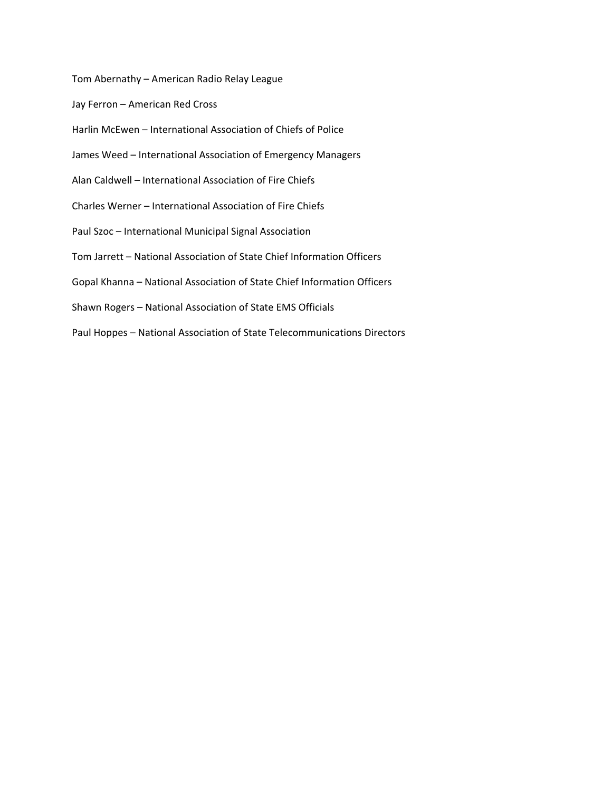Tom Abernathy – American Radio Relay League

Jay Ferron – American Red Cross

Harlin McEwen – International Association of Chiefs of Police

- James Weed International Association of Emergency Managers
- Alan Caldwell International Association of Fire Chiefs
- Charles Werner International Association of Fire Chiefs
- Paul Szoc International Municipal Signal Association
- Tom Jarrett National Association of State Chief Information Officers
- Gopal Khanna National Association of State Chief Information Officers
- Shawn Rogers National Association of State EMS Officials
- Paul Hoppes National Association of State Telecommunications Directors